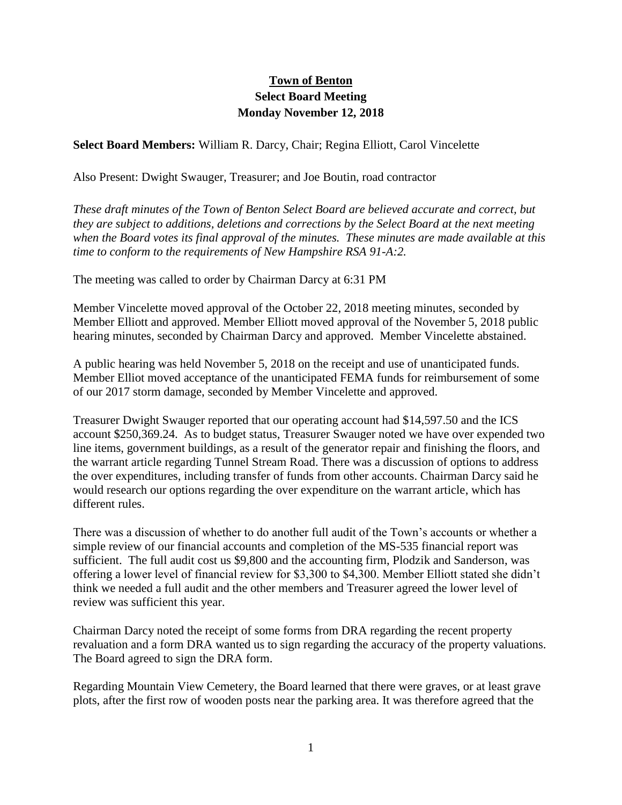## **Town of Benton Select Board Meeting Monday November 12, 2018**

**Select Board Members:** William R. Darcy, Chair; Regina Elliott, Carol Vincelette

Also Present: Dwight Swauger, Treasurer; and Joe Boutin, road contractor

*These draft minutes of the Town of Benton Select Board are believed accurate and correct, but they are subject to additions, deletions and corrections by the Select Board at the next meeting when the Board votes its final approval of the minutes. These minutes are made available at this time to conform to the requirements of New Hampshire RSA 91-A:2.*

The meeting was called to order by Chairman Darcy at 6:31 PM

Member Vincelette moved approval of the October 22, 2018 meeting minutes, seconded by Member Elliott and approved. Member Elliott moved approval of the November 5, 2018 public hearing minutes, seconded by Chairman Darcy and approved. Member Vincelette abstained.

A public hearing was held November 5, 2018 on the receipt and use of unanticipated funds. Member Elliot moved acceptance of the unanticipated FEMA funds for reimbursement of some of our 2017 storm damage, seconded by Member Vincelette and approved.

Treasurer Dwight Swauger reported that our operating account had \$14,597.50 and the ICS account \$250,369.24. As to budget status, Treasurer Swauger noted we have over expended two line items, government buildings, as a result of the generator repair and finishing the floors, and the warrant article regarding Tunnel Stream Road. There was a discussion of options to address the over expenditures, including transfer of funds from other accounts. Chairman Darcy said he would research our options regarding the over expenditure on the warrant article, which has different rules.

There was a discussion of whether to do another full audit of the Town's accounts or whether a simple review of our financial accounts and completion of the MS-535 financial report was sufficient. The full audit cost us \$9,800 and the accounting firm, Plodzik and Sanderson, was offering a lower level of financial review for \$3,300 to \$4,300. Member Elliott stated she didn't think we needed a full audit and the other members and Treasurer agreed the lower level of review was sufficient this year.

Chairman Darcy noted the receipt of some forms from DRA regarding the recent property revaluation and a form DRA wanted us to sign regarding the accuracy of the property valuations. The Board agreed to sign the DRA form.

Regarding Mountain View Cemetery, the Board learned that there were graves, or at least grave plots, after the first row of wooden posts near the parking area. It was therefore agreed that the